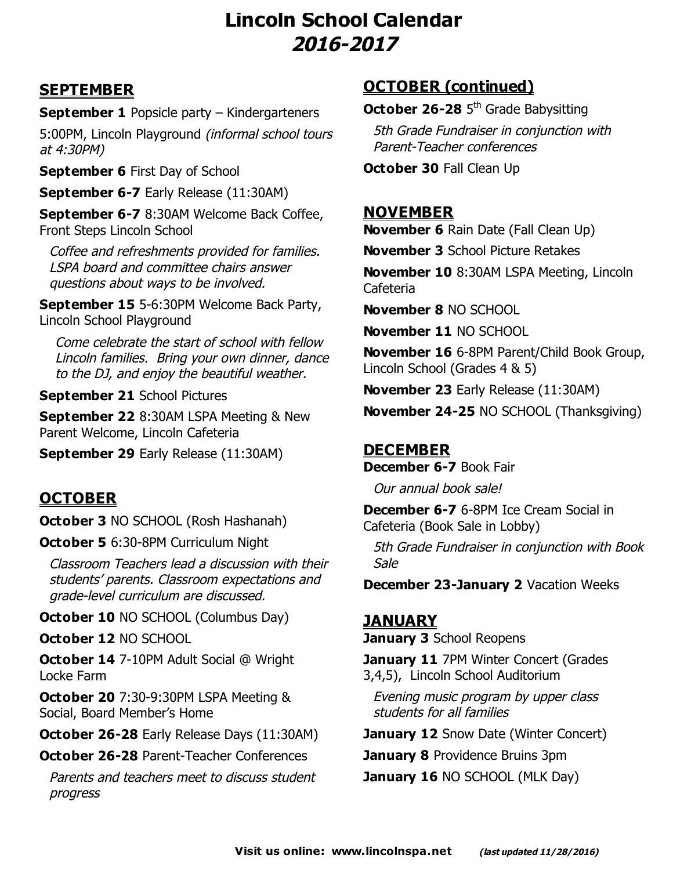# **Lincoln School Calendar 2016-2017**

### **SEPTEMBER**

**September 1** Popsicle party – Kindergarteners

5:00PM, Lincoln Playground *(informal school tours* at 4:30PM)

**September 6** First Day of School

**September 6-7** Early Release (11:30AM)

**September 6-7** 8:30AM Welcome Back Coffee, Front Steps Lincoln School

Coffee and refreshments provided for families. LSPA board and committee chairs answer questions about ways to be involved.

**September 15** 5-6:30PM Welcome Back Party, Lincoln School Playground

Come celebrate the start of school with fellow Lincoln families. Bring your own dinner, dance to the DJ, and enjoy the beautiful weather.

**September 21** School Pictures

**September 22** 8:30AM LSPA Meeting & New Parent Welcome, Lincoln Cafeteria

**September 29 Early Release (11:30AM)** 

## **OCTOBER**

**October 3** NO SCHOOL (Rosh Hashanah)

**October 5** 6:30-8PM Curriculum Night

Classroom Teachers lead a discussion with their students' parents. Classroom expectations and grade-level curriculum are discussed.

**October 10 NO SCHOOL (Columbus Day)** 

**October 12** NO SCHOOL

**October 14** 7-10PM Adult Social @ Wright Locke Farm

**October 20** 7:30-9:30PM LSPA Meeting & Social, Board Member's Home

**October 26-28** Early Release Days (11:30AM)

**October 26-28** Parent-Teacher Conferences

Parents and teachers meet to discuss student progress

## **OCTOBER (continued)**

**October 26-28** 5<sup>th</sup> Grade Babysitting 5th Grade Fundraiser in conjunction with Parent-Teacher conferences

**October 30** Fall Clean Up

#### **NOVEMBER**

**November 6** Rain Date (Fall Clean Up)

**November 3** School Picture Retakes

**November 10** 8:30AM LSPA Meeting, Lincoln Cafeteria

**November 8** NO SCHOOL

**November 11** NO SCHOOL

**November 16** 6-8PM Parent/Child Book Group, Lincoln School (Grades 4 & 5)

**November 23** Early Release (11:30AM)

**November 24-25** NO SCHOOL (Thanksgiving)

#### **DECEMBER**

**December 6-7** Book Fair

Our annual book sale!

**December 6-7** 6-8PM Ice Cream Social in Cafeteria (Book Sale in Lobby)

5th Grade Fundraiser in conjunction with Book Sale

**December 23-January 2** Vacation Weeks

### **JANUARY**

**January 3** School Reopens

**January 11** 7PM Winter Concert (Grades 3,4,5), Lincoln School Auditorium

Evening music program by upper class students for all families

**January 12** Snow Date (Winter Concert)

**January 8** Providence Bruins 3pm

**January 16** NO SCHOOL (MLK Day)